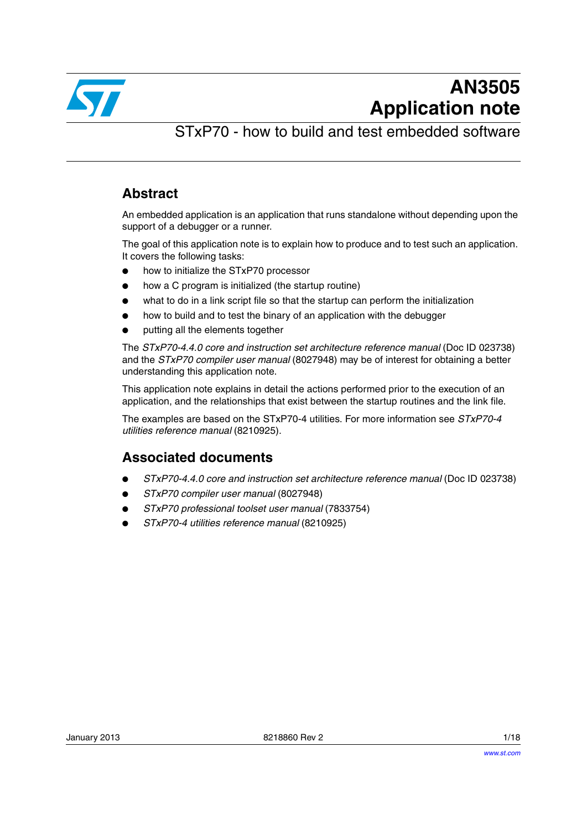

STxP70 - how to build and test embedded software

### **Abstract**

An embedded application is an application that runs standalone without depending upon the support of a debugger or a runner.

The goal of this application note is to explain how to produce and to test such an application. It covers the following tasks:

- how to initialize the STxP70 processor
- how a C program is initialized (the startup routine)
- what to do in a link script file so that the startup can perform the initialization
- how to build and to test the binary of an application with the debugger
- putting all the elements together

The *STxP70-4.4.0 core and instruction set architecture reference manual* (Doc ID 023738) and the *STxP70 compiler user manual* (8027948) may be of interest for obtaining a better understanding this application note.

This application note explains in detail the actions performed prior to the execution of an application, and the relationships that exist between the startup routines and the link file.

The examples are based on the STxP70-4 utilities. For more information see *STxP70-4 utilities reference manual* (8210925).

### **Associated documents**

- *STxP70-4.4.0 core and instruction set architecture reference manual* (Doc ID 023738)
- *STxP70 compiler user manual* (8027948)
- *STxP70 professional toolset user manual* (7833754)
- *STxP70-4 utilities reference manual* (8210925)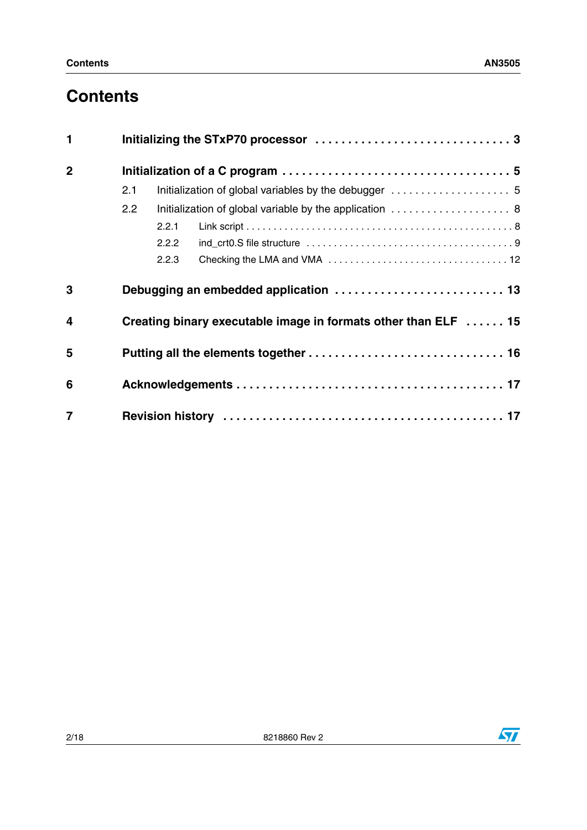# **Contents**

| $\mathbf 1$             |                                                                |       |  |  |  |  |
|-------------------------|----------------------------------------------------------------|-------|--|--|--|--|
| $\overline{2}$          |                                                                |       |  |  |  |  |
|                         | 2.1                                                            |       |  |  |  |  |
|                         | Initialization of global variable by the application  8<br>2.2 |       |  |  |  |  |
|                         |                                                                | 2.2.1 |  |  |  |  |
|                         |                                                                | 2.2.2 |  |  |  |  |
|                         |                                                                | 2.2.3 |  |  |  |  |
| 3                       |                                                                |       |  |  |  |  |
| $\overline{\mathbf{4}}$ | Creating binary executable image in formats other than ELF  15 |       |  |  |  |  |
| 5                       |                                                                |       |  |  |  |  |
| 6                       |                                                                |       |  |  |  |  |
| $\overline{7}$          |                                                                |       |  |  |  |  |

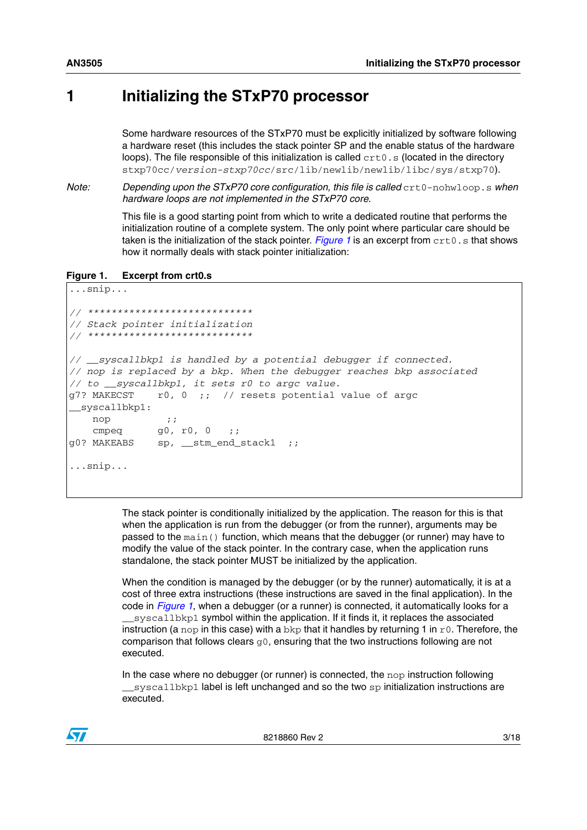### <span id="page-2-0"></span>**1 Initializing the STxP70 processor**

Some hardware resources of the STxP70 must be explicitly initialized by software following a hardware reset (this includes the stack pointer SP and the enable status of the hardware loops). The file responsible of this initialization is called  $\text{crt0.s}$  (located in the directory stxp70cc/*version-stxp70cc*/src/lib/newlib/newlib/libc/sys/stxp70).

*Note:* Depending upon the STxP70 core configuration, this file is called crt0-nohwloop.s when *hardware loops are not implemented in the STxP70 core.*

> This file is a good starting point from which to write a dedicated routine that performs the initialization routine of a complete system. The only point where particular care should be taken is the initialization of the stack pointer. *[Figure 1](#page-2-1)* is an excerpt from  $\text{crt0.s}$  that shows how it normally deals with stack pointer initialization:

```
Figure 1. Excerpt from crt0.s
```

```
...snip...
// ****************************
// Stack pointer initialization
// ****************************
// __syscallbkp1 is handled by a potential debugger if connected.
// nop is replaced by a bkp. When the debugger reaches bkp associated
// to __syscallbkp1, it sets r0 to argc value.
g7? MAKECST r0, 0 ;; // resets potential value of argc
 __syscallbkp1:
   nop ;;
   cmpeq g0, r0, 0 ;;
g0? MAKEABS sp, __stm_end_stack1 ;;
...snip...
```
The stack pointer is conditionally initialized by the application. The reason for this is that when the application is run from the debugger (or from the runner), arguments may be passed to the  $\text{main}(i)$  function, which means that the debugger (or runner) may have to modify the value of the stack pointer. In the contrary case, when the application runs standalone, the stack pointer MUST be initialized by the application.

When the condition is managed by the debugger (or by the runner) automatically, it is at a cost of three extra instructions (these instructions are saved in the final application). In the code in *[Figure 1](#page-2-1)*, when a debugger (or a runner) is connected, it automatically looks for a syscallbkp1 symbol within the application. If it finds it, it replaces the associated instruction (a nop in this case) with a bkp that it handles by returning 1 in  $r0$ . Therefore, the comparison that follows clears  $q0$ , ensuring that the two instructions following are not executed.

In the case where no debugger (or runner) is connected, the  $\log$  instruction following syscallbkp1 label is left unchanged and so the two sp initialization instructions are executed.

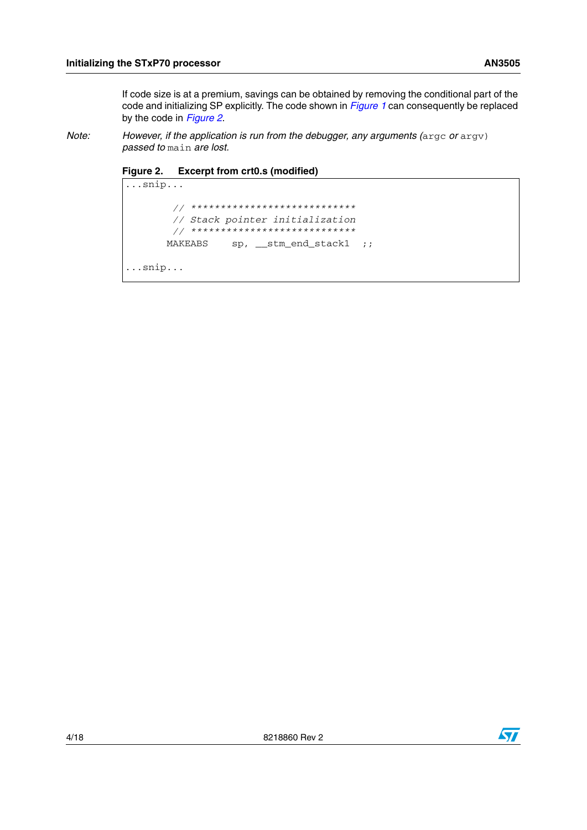If code size is at a premium, savings can be obtained by removing the conditional part of the code and initializing SP explicitly. The code shown in *[Figure 1](#page-2-1)* can consequently be replaced by the code in *[Figure 2](#page-3-0)*.

*Note:* However, if the application is run from the debugger, any arguments (argc or argv) *passed to* main *are lost.*

<span id="page-3-0"></span>**Figure 2. Excerpt from crt0.s (modified)**



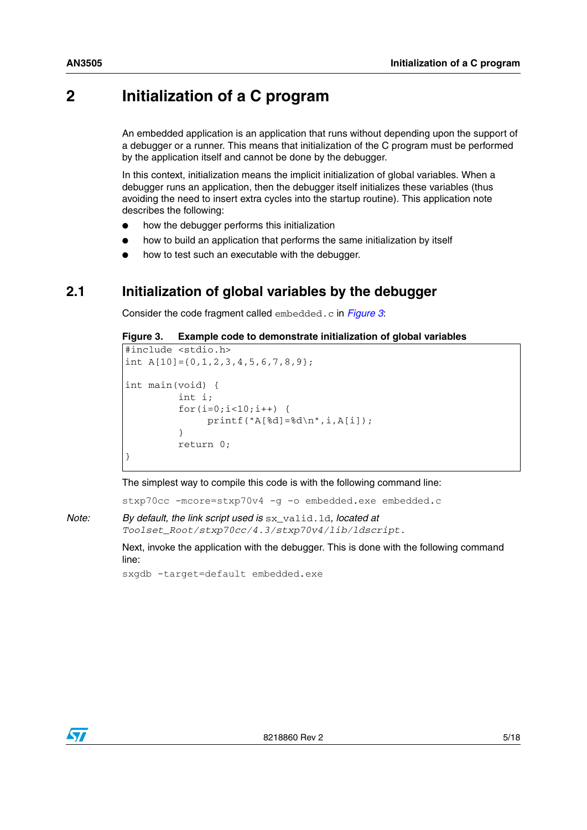### <span id="page-4-0"></span>**2 Initialization of a C program**

An embedded application is an application that runs without depending upon the support of a debugger or a runner. This means that initialization of the C program must be performed by the application itself and cannot be done by the debugger.

In this context, initialization means the implicit initialization of global variables. When a debugger runs an application, then the debugger itself initializes these variables (thus avoiding the need to insert extra cycles into the startup routine). This application note describes the following:

- how the debugger performs this initialization
- how to build an application that performs the same initialization by itself
- how to test such an executable with the debugger.

#### <span id="page-4-1"></span>**2.1 Initialization of global variables by the debugger**

Consider the code fragment called embedded.c in *[Figure 3](#page-4-2)*:

<span id="page-4-2"></span>**Figure 3. Example code to demonstrate initialization of global variables**

```
#include <stdio.h>
int A[10] = \{0, 1, 2, 3, 4, 5, 6, 7, 8, 9\};int main(void) {
          int i;
          for(i=0; i<10; i++) {
               printf("A[%d]=%d\n", i, A[i]);
 }
           return 0;
}
```
The simplest way to compile this code is with the following command line:

stxp70cc -mcore=stxp70v4 -g -o embedded.exe embedded.c

*Note: By default, the link script used is* sx\_valid.ld*, located at Toolset\_Root/stxp70cc/4.3/stxp70v4/lib/ldscript.*

> Next, invoke the application with the debugger. This is done with the following command line:

sxqdb -target=default embedded.exe

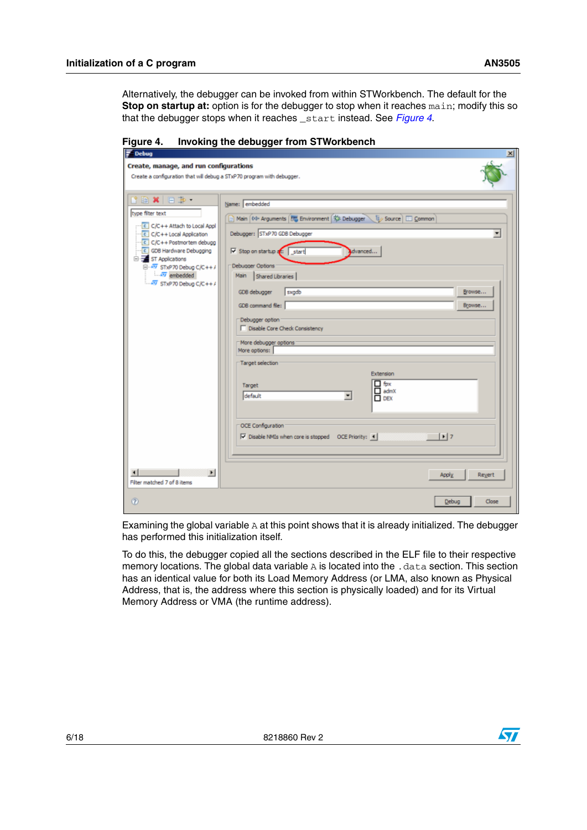Alternatively, the debugger can be invoked from within STWorkbench. The default for the **Stop on startup at:** option is for the debugger to stop when it reaches main; modify this so that the debugger stops when it reaches \_start instead. See *[Figure 4](#page-5-0)*.

| ₹<br><b>Debug</b><br>$\vert x \vert$                                                                                                                                                                                                                                                     |                                                                                                                                                                                                                                                                                                                                                                                                                                                                                                                                                                                                                                                                                               |  |  |  |  |  |
|------------------------------------------------------------------------------------------------------------------------------------------------------------------------------------------------------------------------------------------------------------------------------------------|-----------------------------------------------------------------------------------------------------------------------------------------------------------------------------------------------------------------------------------------------------------------------------------------------------------------------------------------------------------------------------------------------------------------------------------------------------------------------------------------------------------------------------------------------------------------------------------------------------------------------------------------------------------------------------------------------|--|--|--|--|--|
| Create, manage, and run configurations<br>Create a configuration that will debug a STxP70 program with debugger.                                                                                                                                                                         |                                                                                                                                                                                                                                                                                                                                                                                                                                                                                                                                                                                                                                                                                               |  |  |  |  |  |
| <b>KBXBB</b><br>type fiter text<br>C/C++ Attach to Local Appl<br>C C/C++ Local Application<br>C/C++ Postmortem debugg<br>C GDB Hardware Debugging<br>ST Applications<br>$\overline{\Box} - \overline{AT}$ STxP70 Debug C/C++/<br>$\sqrt{27}$ embedded<br>$\sqrt{2V}$ STxP70 Debug C/C++/ | Name: embedded<br>Main 00- Arguments 75 Environment 13 Debugger   12 Source   13 Common<br>Debugger: STxP70 GDB Debugger<br>$\overline{\phantom{a}}$<br>$\nabla$ Stop on startup at:<br>start<br>dvanced<br>Debugger Options<br>Shared Libraries<br>Main<br>GDB debugger<br>sxgdb<br>Browse<br>GDB command file:<br>Browse<br>Debugger option<br>Disable Core Check Consistency<br>More debugger options:<br>More options:<br>Target selection<br>Extension<br>$\Box$ fpx<br>Target<br>$\Box$ admX<br>default<br>$\overline{\phantom{a}}$<br>$\Box$ DEX<br>OCE Configuration<br>$\vert \cdot \vert$ 7<br>$\overline{\mathbf{V}}$ Disable NMIs when core is stopped OCE Priority: $\leftarrow$ |  |  |  |  |  |
| $\blacktriangleright$<br>Filter matched 7 of 8 items                                                                                                                                                                                                                                     | Reyert<br>Apply                                                                                                                                                                                                                                                                                                                                                                                                                                                                                                                                                                                                                                                                               |  |  |  |  |  |
| $\circledR$                                                                                                                                                                                                                                                                              | Close<br>Debug                                                                                                                                                                                                                                                                                                                                                                                                                                                                                                                                                                                                                                                                                |  |  |  |  |  |

<span id="page-5-0"></span>**Figure 4. Invoking the debugger from STWorkbench**

Examining the global variable A at this point shows that it is already initialized. The debugger has performed this initialization itself.

To do this, the debugger copied all the sections described in the ELF file to their respective memory locations. The global data variable  $A$  is located into the . data section. This section has an identical value for both its Load Memory Address (or LMA, also known as Physical Address, that is, the address where this section is physically loaded) and for its Virtual Memory Address or VMA (the runtime address).

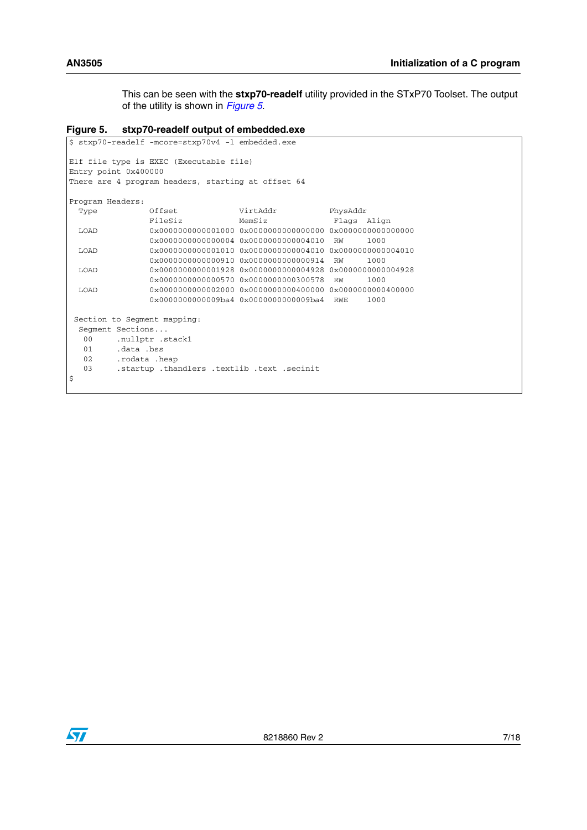This can be seen with the **stxp70-readelf** utility provided in the STxP70 Toolset. The output of the utility is shown in *[Figure 5](#page-6-0)*.

```
Figure 5. stxp70-readelf output of embedded.exe
```

```
$ stxp70-readelf -mcore=stxp70v4 -l embedded.exe
Elf file type is EXEC (Executable file)
Entry point 0x400000
There are 4 program headers, starting at offset 64
Program Headers:
 Type Offset VirtAddr PhysAddr
               FileSiz MemSiz Flags Align
  LOAD 0x0000000000001000 0x0000000000000000 0x0000000000000000
                0x0000000000000004 0x0000000000004010 RW 1000
  LOAD 0x0000000000001010 0x0000000000004010 0x0000000000004010
                0x0000000000000910 0x0000000000000914 RW 1000
  LOAD 0x0000000000001928 0x0000000000004928 0x0000000000004928
                0x0000000000000570 0x0000000000300578 RW 1000
  LOAD 0x0000000000002000 0x0000000000400000 0x0000000000400000
                0x0000000000009ba4 0x0000000000009ba4 RWE 1000
 Section to Segment mapping:
  Segment Sections...
  00 .nullptr .stack1
   01 .data .bss
   02 .rodata .heap
   03 .startup .thandlers .textlib .text .secinit
\boldsymbol{\mathsf{S}}
```
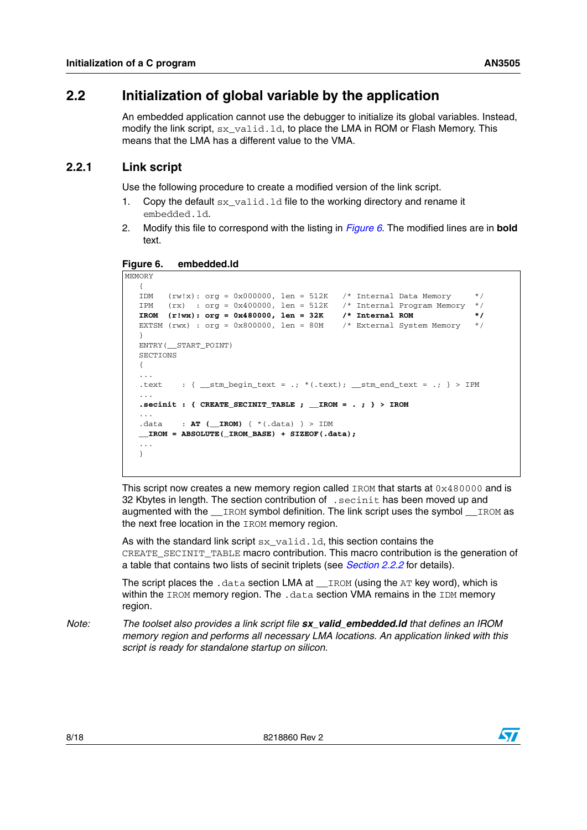### <span id="page-7-0"></span>**2.2 Initialization of global variable by the application**

An embedded application cannot use the debugger to initialize its global variables. Instead, modify the link script,  $sx\_valid$ . 1d, to place the LMA in ROM or Flash Memory. This means that the LMA has a different value to the VMA.

#### <span id="page-7-1"></span>**2.2.1 Link script**

MEMORY

Use the following procedure to create a modified version of the link script.

- 1. Copy the default  $sx$  valid. 1d file to the working directory and rename it embedded.ld.
- 2. Modify this file to correspond with the listing in *[Figure 6](#page-7-2)*. The modified lines are in **bold** text.

<span id="page-7-2"></span>**Figure 6. embedded.ld**

```
{
IDM (rw!x): org = 0x000000, len = 512K /* Internal Data Memory */IPM (rx) : org = 0x400000, len = 512K /* Internal Program Memory */
IROM (r!wx): org = 0x480000, len = 32K /* Internal ROM */
EXTSM (rwx) : org = 0x800000, len = 80M /* External System Memory */
}
ENTRY(__START_POINT)
SECTIONS
{
...
.text : { __stm_begin_text = .; *(.text); __stm_end_text = .; } > IPM
...
.secinit : { CREATE_SECINIT_TABLE ; __IROM = . ; } > IROM
...
.data : AT ( IROM) { * (.data) } > IDM
__IROM = ABSOLUTE(_IROM_BASE) + SIZEOF(.data);
...
}
```
This script now creates a new memory region called IROM that starts at  $0 \times 480000$  and is 32 Kbytes in length. The section contribution of .secinit has been moved up and augmented with the \_\_IROM symbol definition. The link script uses the symbol \_\_IROM as the next free location in the IROM memory region.

As with the standard link script  $sx\_valid$ .  $ld$ , this section contains the CREATE\_SECINIT\_TABLE macro contribution. This macro contribution is the generation of a table that contains two lists of secinit triplets (see *[Section 2.2.2](#page-8-0)* for details).

The script places the .data section LMA at \_\_IROM (using the AT key word), which is within the IROM memory region. The .data section VMA remains in the IDM memory region.

*Note: The toolset also provides a link script file sx\_valid\_embedded.ld that defines an IROM memory region and performs all necessary LMA locations. An application linked with this script is ready for standalone startup on silicon.* 

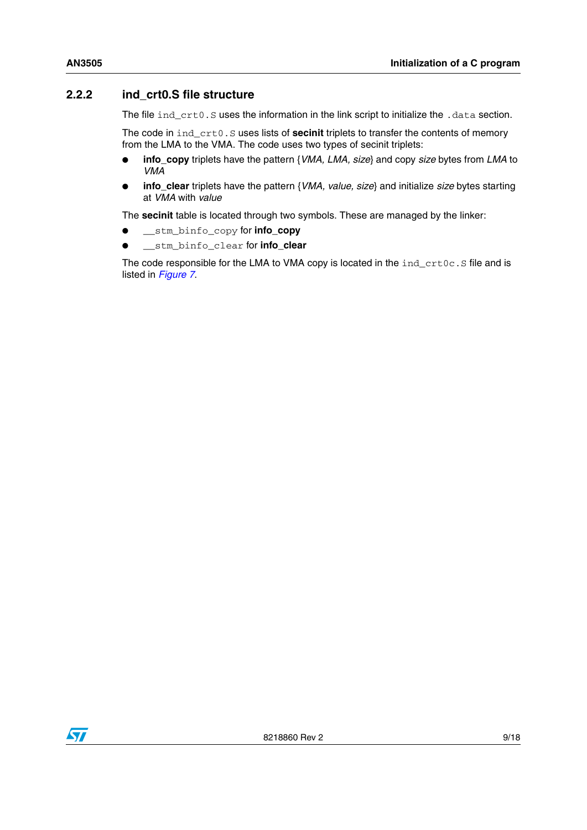#### <span id="page-8-0"></span>**2.2.2 ind\_crt0.S file structure**

The file ind\_crt0.S uses the information in the link script to initialize the .data section.

The code in ind\_crt0.S uses lists of **secinit** triplets to transfer the contents of memory from the LMA to the VMA. The code uses two types of secinit triplets:

- **info\_copy** triplets have the pattern {*VMA, LMA, size*} and copy *size* bytes from *LMA* to *VMA*
- **info\_clear** triplets have the pattern {*VMA, value, size*} and initialize *size* bytes starting at *VMA* with *value*

The **secinit** table is located through two symbols. These are managed by the linker:

- \_\_stm\_binfo\_copy for **info\_copy**
- \_\_stm\_binfo\_clear for **info\_clear**

The code responsible for the LMA to VMA copy is located in the  $ind$  crt $0c$ . S file and is listed in *[Figure 7](#page-9-0)*.

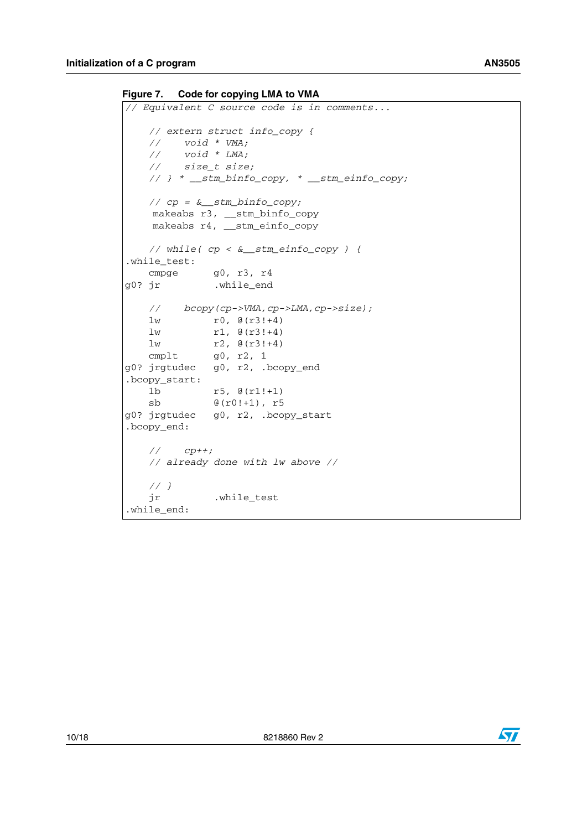<span id="page-9-0"></span>**Figure 7. Code for copying LMA to VMA**

```
// Equivalent C source code is in comments...
    // extern struct info_copy {
 // void * VMA;
 // void * LMA;
 // size_t size;
    // } * __stm_binfo_copy, * __stm_einfo_copy;
    // cp = &__stm_binfo_copy;
   makeabs r3, __stm_binfo_copy
   makeabs r4, __stm_einfo_copy
    // while( cp < &__stm_einfo_copy ) {
.while_test:
   cmpge g0, r3, r4
g0? jr .while_end
    // bcopy(cp->VMA,cp->LMA,cp->size);
   lw r0, \theta(r3!+4) lw r1, @(r3!+4)
    lw r2, @(r3!+4)
    cmplt g0, r2, 1
g0? jrgtudec g0, r2, .bcopy_end
.bcopy_start:
    lb r5, @(r1!+1)
    sb @(r0!+1), r5
g0? jrgtudec g0, r2, .bcopy_start
.bcopy_end:
    // cp++;
    // already done with lw above //
    // }
    jr .while_test
.while_end:
```
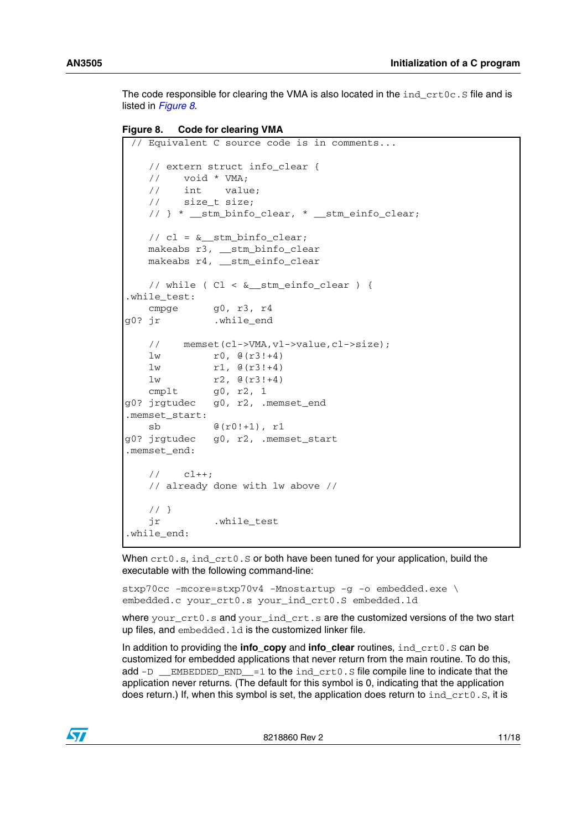The code responsible for clearing the VMA is also located in the  $ind$  crt $0c$ . S file and is listed in *[Figure 8](#page-10-0)*.

```
Figure 8. Code for clearing VMA
```

```
 // Equivalent C source code is in comments...
    // extern struct info_clear {
    // void * VMA;
    // int value;
    // size_t size;
    // } * __stm_binfo_clear, * __stm_einfo_clear;
   // cl = \& stm binfo clear;
    makeabs r3, __stm_binfo_clear
    makeabs r4, __stm_einfo_clear
   // while ( Cl < \& stm einfo clear ) {
.while test:
   cmpge q0, r3, r4g0? jr .while_end
    // memset(cl->VMA,vl->value,cl->size);
   1w r0, \theta(r3!+4)1w r1, \theta(r3!+4)lw r2, \theta(r3!+4) cmplt g0, r2, 1
g0? jrgtudec g0, r2, .memset_end
.memset start:
    sb @(r0!+1), r1
g0? jrgtudec g0, r2, .memset_start
.memset_end:
    // cl++;
    // already done with lw above //
    // }
    jr .while_test
.while end:
```
When  $crt0.s,$  ind  $crt0.S$  or both have been tuned for your application, build the executable with the following command-line:

stxp70cc -mcore=stxp70v4 -Mnostartup -g -o embedded.exe \ embedded.c your\_crt0.s your\_ind\_crt0.S embedded.ld

where your\_crt0.s and your\_ind\_crt.s are the customized versions of the two start up files, and embedded. 1d is the customized linker file.

In addition to providing the **info\_copy** and **info\_clear** routines, ind\_crt0.S can be customized for embedded applications that never return from the main routine. To do this, add  $-D$  \_\_EMBEDDED\_END\_ $=1$  to the ind\_crt0.S file compile line to indicate that the application never returns. (The default for this symbol is 0, indicating that the application does return.) If, when this symbol is set, the application does return to ind\_crt0.S, it is

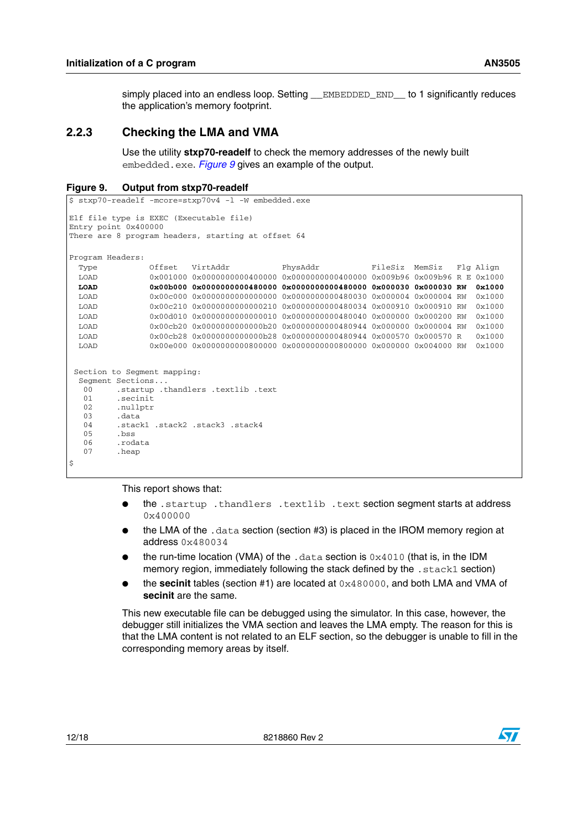simply placed into an endless loop. Setting EMBEDDED END to 1 significantly reduces the application's memory footprint.

#### <span id="page-11-0"></span>**2.2.3 Checking the LMA and VMA**

Use the utility **stxp70-readelf** to check the memory addresses of the newly built embedded.exe. *[Figure 9](#page-11-1)* gives an example of the output.

```
Figure 9. Output from stxp70-readelf
```

```
$ stxp70-readelf -mcore=stxp70v4 -l -W embedded.exe
Elf file type is EXEC (Executable file)
Entry point 0x400000
There are 8 program headers, starting at offset 64
Program Headers:
  Type Offset VirtAddr PhysAddr FileSiz MemSiz Flg Align
  LOAD 0x001000 0x0000000000400000 0x0000000000400000 0x009b96 0x009b96 R E 0x1000
  LOAD 0x00b000 0x0000000000480000 0x0000000000480000 0x000030 0x000030 RW 0x1000
  LOAD 0x00c000 0x0000000000000000 0x0000000000480030 0x000004 0x000004 RW 0x1000
  LOAD 0x00c210 0x0000000000000210 0x0000000000480034 0x000910 0x000910 RW 0x1000
  LOAD 0x00d010 0x0000000000000010 0x0000000000480040 0x000000 0x000200 RW 0x1000
  LOAD 0x00cb20 0x0000000000000b20 0x0000000000480944 0x000000 0x000004 RW 0x1000
  LOAD 0x00cb28 0x0000000000000b28 0x0000000000480944 0x000570 0x000570 R 0x1000
  LOAD 0x00e000 0x0000000000800000 0x0000000000800000 0x000000 0x004000 RW 0x1000
  Section to Segment mapping:
  Segment Sections...
   00 .startup .thandlers .textlib .text
  01 .secinit<br>02 .nullptr
  02 .nullptr<br>03 .data
          03 .data
   04 .stack1 .stack2 .stack3 .stack4
   05 .bss
  06 .rodata<br>07 heap
         heap.
$
```
This report shows that:

- the .startup .thandlers .textlib .text section segment starts at address 0x400000
- the LMA of the  $.$  data section (section #3) is placed in the IROM memory region at address 0x480034
- the run-time location (VMA) of the .data section is  $0x4010$  (that is, in the IDM memory region, immediately following the stack defined by the .stack1 section)
- the **secinit** tables (section #1) are located at 0x480000, and both LMA and VMA of **secinit** are the same.

This new executable file can be debugged using the simulator. In this case, however, the debugger still initializes the VMA section and leaves the LMA empty. The reason for this is that the LMA content is not related to an ELF section, so the debugger is unable to fill in the corresponding memory areas by itself.

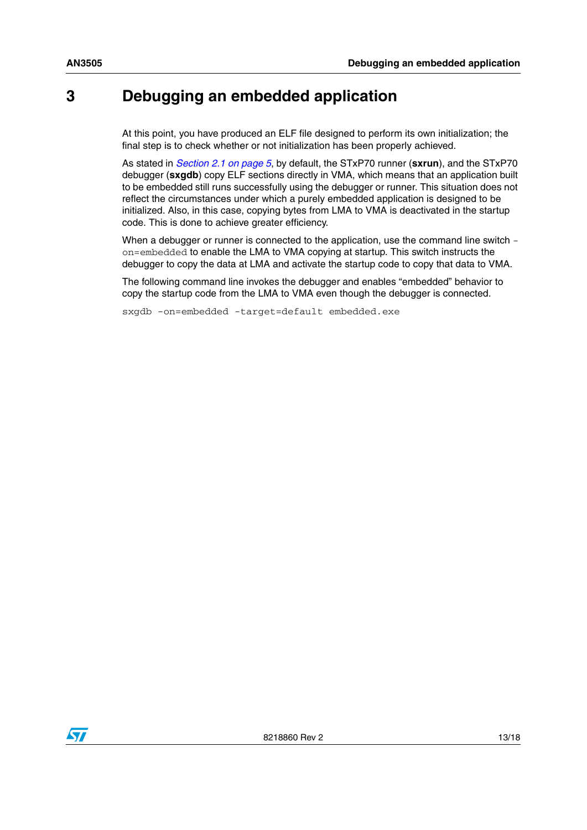### <span id="page-12-0"></span>**3 Debugging an embedded application**

At this point, you have produced an ELF file designed to perform its own initialization; the final step is to check whether or not initialization has been properly achieved.

As stated in *[Section 2.1 on page 5](#page-4-1)*, by default, the STxP70 runner (**sxrun**), and the STxP70 debugger (**sxgdb**) copy ELF sections directly in VMA, which means that an application built to be embedded still runs successfully using the debugger or runner. This situation does not reflect the circumstances under which a purely embedded application is designed to be initialized. Also, in this case, copying bytes from LMA to VMA is deactivated in the startup code. This is done to achieve greater efficiency.

When a debugger or runner is connected to the application, use the command line switch on=embedded to enable the LMA to VMA copying at startup. This switch instructs the debugger to copy the data at LMA and activate the startup code to copy that data to VMA.

The following command line invokes the debugger and enables "embedded" behavior to copy the startup code from the LMA to VMA even though the debugger is connected.

sxgdb -on=embedded -target=default embedded.exe

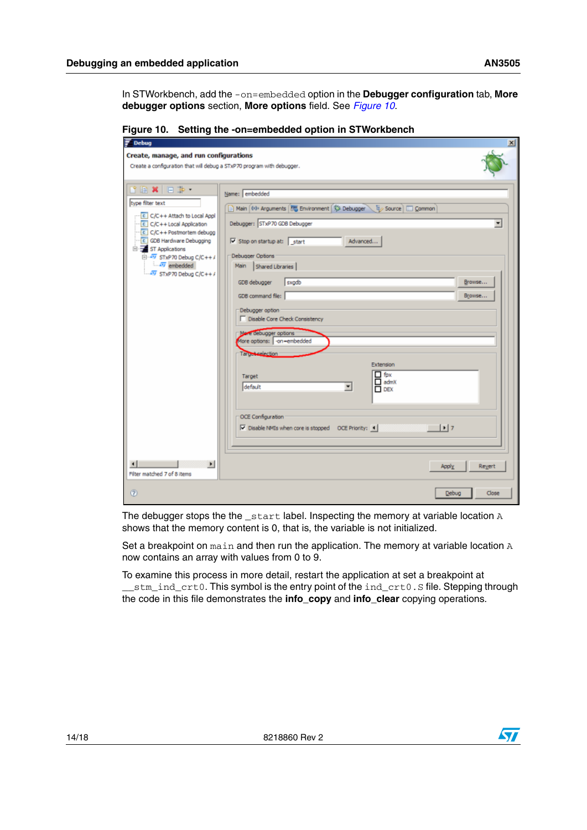In STWorkbench, add the -on=embedded option in the **Debugger configuration** tab, **More debugger options** section, **More options** field. See *[Figure 10](#page-13-0)*.

<span id="page-13-0"></span>

|  | Figure 10. Setting the -on=embedded option in STWorkbench |
|--|-----------------------------------------------------------|
|--|-----------------------------------------------------------|

| $\vert x \vert$<br>$\overline{z}$ Debug                                                                                                                                                                                                                                               |                                                                                                                                                                                                                                                                                                                                                                                                                                                                                                                                                                                                                                                                                                  |                       |  |  |  |  |
|---------------------------------------------------------------------------------------------------------------------------------------------------------------------------------------------------------------------------------------------------------------------------------------|--------------------------------------------------------------------------------------------------------------------------------------------------------------------------------------------------------------------------------------------------------------------------------------------------------------------------------------------------------------------------------------------------------------------------------------------------------------------------------------------------------------------------------------------------------------------------------------------------------------------------------------------------------------------------------------------------|-----------------------|--|--|--|--|
| Create, manage, and run configurations<br>Create a configuration that will debug a STxP70 program with debugger.                                                                                                                                                                      |                                                                                                                                                                                                                                                                                                                                                                                                                                                                                                                                                                                                                                                                                                  |                       |  |  |  |  |
| <b>BRXER</b><br>type filter text<br>C/C++ Attach to Local Appl<br>C/C++ Local Application<br>$C/C++$ Postmortem debugg<br>C GDB Hardware Debugging<br>El- ST Applications<br>$\overline{(-477)}$ STxP70 Debug C/C++ /<br>$\sqrt{27}$ embedded<br>$-4\overline{v}$ STxP70 Debug C/C++/ | Name: embedded<br>Main (69: Arguments 775 Environment 1%: Debugger \ 15 / Source   Common<br>Debugger: STxP70 GDB Debugger<br>$\overline{\vee}$ Stop on startup at: start<br>Advanced<br><b>Debugger Options</b><br>Main<br>Shared Libraries<br>GDB debugger<br>sxodb<br>GDB command file:<br>Debugger option<br>Disable Core Check Consistency<br>More debugger options<br>More options:   -on-embedded<br>Target celection<br>Extension<br>$\Box$ fpx<br>Target<br>$\Box$ admX<br>default<br>$\overline{\phantom{a}}$<br>$\Box$ DEX<br><b>OCE Configuration</b><br>$\vert \cdot \vert$<br>$\overline{\triangledown}$ Disable NMIs when core is stopped  OCE Priority: $\left. \bullet \right $ | ۰<br>Browse<br>Browse |  |  |  |  |
| $\blacktriangleright$<br>Filter matched 7 of 8 items                                                                                                                                                                                                                                  | Apply                                                                                                                                                                                                                                                                                                                                                                                                                                                                                                                                                                                                                                                                                            | Revert                |  |  |  |  |
| $\circledR$                                                                                                                                                                                                                                                                           | Debug                                                                                                                                                                                                                                                                                                                                                                                                                                                                                                                                                                                                                                                                                            | Close                 |  |  |  |  |

The debugger stops the the \_start label. Inspecting the memory at variable location A shows that the memory content is 0, that is, the variable is not initialized.

Set a breakpoint on main and then run the application. The memory at variable location A now contains an array with values from 0 to 9.

To examine this process in more detail, restart the application at set a breakpoint at \_\_stm\_ind\_crt0. This symbol is the entry point of the ind\_crt0.S file. Stepping through the code in this file demonstrates the **info\_copy** and **info\_clear** copying operations.

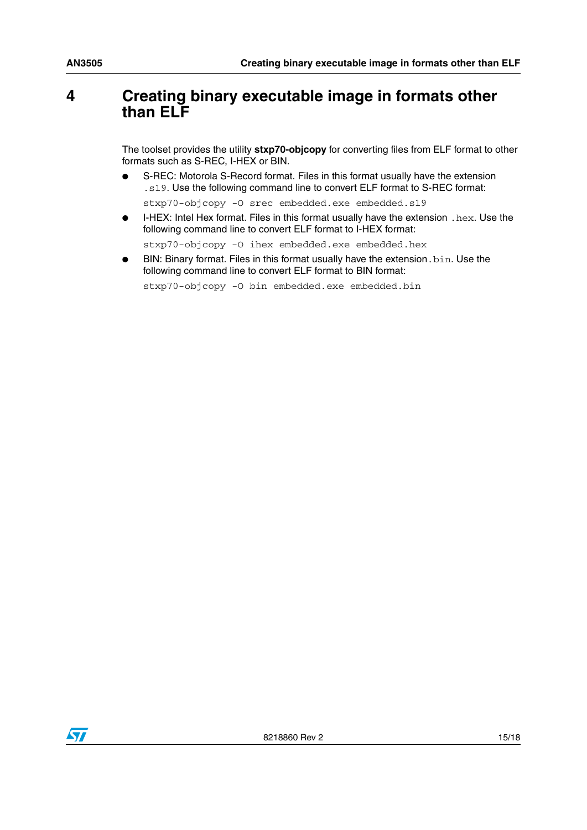### <span id="page-14-0"></span>**4 Creating binary executable image in formats other than ELF**

The toolset provides the utility **stxp70-objcopy** for converting files from ELF format to other formats such as S-REC, I-HEX or BIN.

S-REC: Motorola S-Record format. Files in this format usually have the extension .s19. Use the following command line to convert ELF format to S-REC format:

stxp70-objcopy -O srec embedded.exe embedded.s19

I-HEX: Intel Hex format. Files in this format usually have the extension .  $hex.$  Use the following command line to convert ELF format to I-HEX format:

stxp70-objcopy -0 ihex embedded.exe embedded.hex

BIN: Binary format. Files in this format usually have the extension. bin. Use the following command line to convert ELF format to BIN format:

stxp70-objcopy -0 bin embedded.exe embedded.bin

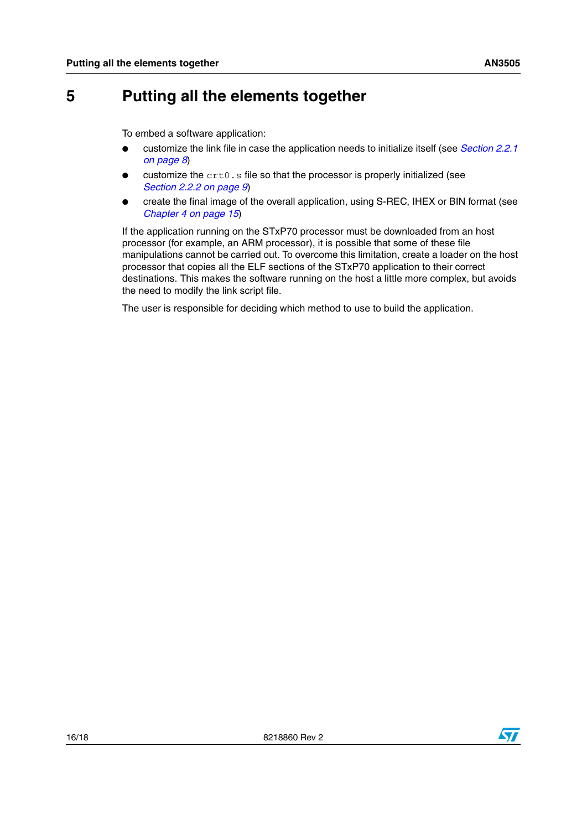### <span id="page-15-0"></span>**5 Putting all the elements together**

To embed a software application:

- customize the link file in case the application needs to initialize itself (see *[Section 2.2.1](#page-7-1)  [on page 8](#page-7-1)*)
- customize the crt0.s file so that the processor is properly initialized (see *[Section 2.2.2 on page 9](#page-8-0)*)
- create the final image of the overall application, using S-REC, IHEX or BIN format (see *[Chapter 4 on page 15](#page-14-0)*)

If the application running on the STxP70 processor must be downloaded from an host processor (for example, an ARM processor), it is possible that some of these file manipulations cannot be carried out. To overcome this limitation, create a loader on the host processor that copies all the ELF sections of the STxP70 application to their correct destinations. This makes the software running on the host a little more complex, but avoids the need to modify the link script file.

The user is responsible for deciding which method to use to build the application.

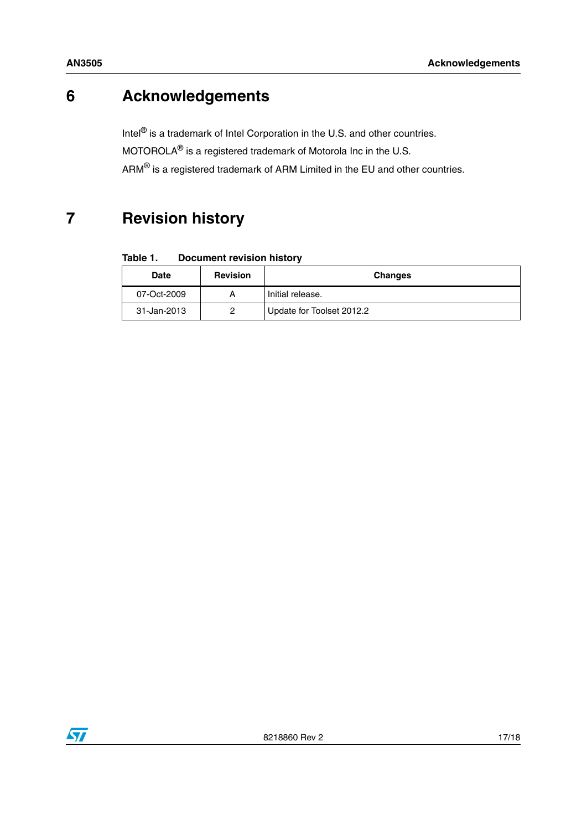## <span id="page-16-0"></span>**6 Acknowledgements**

Intel<sup>®</sup> is a trademark of Intel Corporation in the U.S. and other countries. MOTOROLA® is a registered trademark of Motorola Inc in the U.S. ARM® is a registered trademark of ARM Limited in the EU and other countries.

### <span id="page-16-1"></span>**7 Revision history**

| Table 1. | <b>Document revision history</b> |  |
|----------|----------------------------------|--|
|----------|----------------------------------|--|

| <b>Date</b> | <b>Revision</b> | <b>Changes</b>            |
|-------------|-----------------|---------------------------|
| 07-Oct-2009 |                 | I Initial release.        |
| 31-Jan-2013 |                 | Update for Toolset 2012.2 |